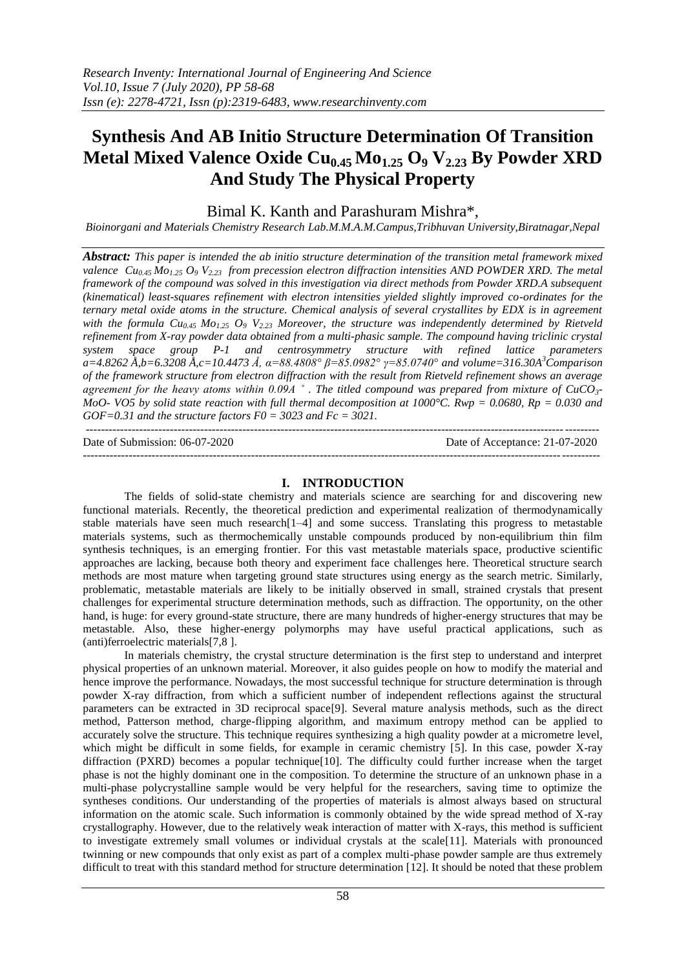# **Synthesis And AB Initio Structure Determination Of Transition Metal Mixed Valence Oxide Cu0.45 Mo1.25 O<sup>9</sup> V2.23 By Powder XRD And Study The Physical Property**

Bimal K. Kanth and Parashuram Mishra\*,

*Bioinorgani and Materials Chemistry Research Lab.M.M.A.M.Campus,Tribhuvan University,Biratnagar,Nepal*

*Abstract: This paper is intended the ab initio structure determination of the transition metal framework mixed valence Cu0.45 Mo1.25 O<sup>9</sup> V2.23 from precession electron diffraction intensities AND POWDER XRD. The metal framework of the compound was solved in this investigation via direct methods from Powder XRD.A subsequent (kinematical) least-squares refinement with electron intensities yielded slightly improved co-ordinates for the ternary metal oxide atoms in the structure. Chemical analysis of several crystallites by EDX is in agreement*  with the formula  $Cu_{0.45}$   $Mo_{1.25}$   $O_9$   $V_{2.23}$  Moreover, the structure was independently determined by Rietveld *refinement from X-ray powder data obtained from a multi-phasic sample. The compound having triclinic crystal system space group P-1 and centrosymmetry structure with refined lattice parameters a=4.8262 Å,b=6.3208 Å,c=10.4473 Å, α=88.4808° β=85.0982° γ=85.0740° and volume=316.30A<sup>3</sup>Comparison of the framework structure from electron diffraction with the result from Rietveld refinement shows an average agreement for the heavy atoms within 0.09A ˚ . The titled compound was prepared from mixture of CuCO3- MoO- VO5 by solid state reaction with full thermal decomposition at 1000°C. Rwp = 0.0680, Rp = 0.030 and GOF=0.31 and the structure factors F0 = 3023 and Fc = 3021.*

-------------------------------------------------------------------------------------------------------------------------------------- Date of Submission: 06-07-2020 Date of Acceptance: 21-07-2020  $-1\leq i\leq n-1$ 

## **I. INTRODUCTION**

The fields of solid-state chemistry and materials science are searching for and discovering new functional materials. Recently, the theoretical prediction and experimental realization of thermodynamically stable materials have seen much research $[1-4]$  and some success. Translating this progress to metastable materials systems, such as thermochemically unstable compounds produced by non-equilibrium thin film synthesis techniques, is an emerging frontier. For this vast metastable materials space, productive scientific approaches are lacking, because both theory and experiment face challenges here. Theoretical structure search methods are most mature when targeting ground state structures using energy as the search metric. Similarly, problematic, metastable materials are likely to be initially observed in small, strained crystals that present challenges for experimental structure determination methods, such as diffraction. The opportunity, on the other hand, is huge: for every ground-state structure, there are many hundreds of higher-energy structures that may be metastable. Also, these higher-energy polymorphs may have useful practical applications, such as (anti)ferroelectric materials[7,8 ].

In materials chemistry, the crystal structure determination is the first step to understand and interpret physical properties of an unknown material. Moreover, it also guides people on how to modify the material and hence improve the performance. Nowadays, the most successful technique for structure determination is through powder X-ray diffraction, from which a sufficient number of independent reflections against the structural parameters can be extracted in 3D reciprocal space[9]. Several mature analysis methods, such as the direct method, Patterson method, charge-flipping algorithm, and maximum entropy method can be applied to accurately solve the structure. This technique requires synthesizing a high quality powder at a micrometre level, which might be difficult in some fields, for example in ceramic chemistry [5]. In this case, powder X-ray diffraction (PXRD) becomes a popular technique[10]. The difficulty could further increase when the target phase is not the highly dominant one in the composition. To determine the structure of an unknown phase in a multi-phase polycrystalline sample would be very helpful for the researchers, saving time to optimize the syntheses conditions. Our understanding of the properties of materials is almost always based on structural information on the atomic scale. Such information is commonly obtained by the wide spread method of X-ray crystallography. However, due to the relatively weak interaction of matter with X-rays, this method is sufficient to investigate extremely small volumes or individual crystals at the scale[11]. Materials with pronounced twinning or new compounds that only exist as part of a complex multi-phase powder sample are thus extremely difficult to treat with this standard method for structure determination [12]. It should be noted that these problem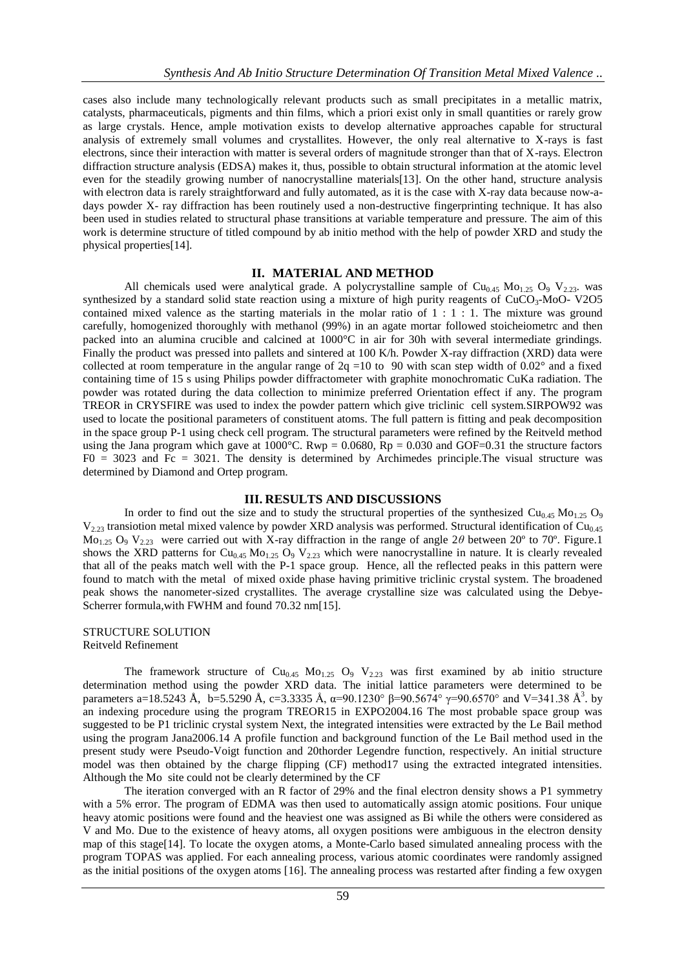cases also include many technologically relevant products such as small precipitates in a metallic matrix, catalysts, pharmaceuticals, pigments and thin films, which a priori exist only in small quantities or rarely grow as large crystals. Hence, ample motivation exists to develop alternative approaches capable for structural analysis of extremely small volumes and crystallites. However, the only real alternative to X-rays is fast electrons, since their interaction with matter is several orders of magnitude stronger than that of X-rays. Electron diffraction structure analysis (EDSA) makes it, thus, possible to obtain structural information at the atomic level even for the steadily growing number of nanocrystalline materials[13]. On the other hand, structure analysis with electron data is rarely straightforward and fully automated, as it is the case with X-ray data because now-adays powder X- ray diffraction has been routinely used a non-destructive fingerprinting technique. It has also been used in studies related to structural phase transitions at variable temperature and pressure. The aim of this work is determine structure of titled compound by ab initio method with the help of powder XRD and study the physical properties[14].

## **II. MATERIAL AND METHOD**

All chemicals used were analytical grade. A polycrystalline sample of  $Cu<sub>0.45</sub> Mo<sub>1.25</sub> O<sub>9</sub> V<sub>2.23</sub>$  was synthesized by a standard solid state reaction using a mixture of high purity reagents of  $CuCO<sub>3</sub>-MoO-V2O5$ contained mixed valence as the starting materials in the molar ratio of  $1 : 1 : 1$ . The mixture was ground carefully, homogenized thoroughly with methanol (99%) in an agate mortar followed stoicheiometrc and then packed into an alumina crucible and calcined at 1000°C in air for 30h with several intermediate grindings. Finally the product was pressed into pallets and sintered at 100 K/h. Powder X-ray diffraction (XRD) data were collected at room temperature in the angular range of  $2q = 10$  to 90 with scan step width of  $0.02^{\circ}$  and a fixed containing time of 15 s using Philips powder diffractometer with graphite monochromatic CuKa radiation. The powder was rotated during the data collection to minimize preferred Orientation effect if any. The program TREOR in CRYSFIRE was used to index the powder pattern which give triclinic cell system.SIRPOW92 was used to locate the positional parameters of constituent atoms. The full pattern is fitting and peak decomposition in the space group P-1 using check cell program. The structural parameters were refined by the Reitveld method using the Jana program which gave at 1000°C. Rwp = 0.0680, Rp = 0.030 and GOF=0.31 the structure factors  $F0 = 3023$  and  $Fc = 3021$ . The density is determined by Archimedes principle. The visual structure was determined by Diamond and Ortep program.

## **III. RESULTS AND DISCUSSIONS**

In order to find out the size and to study the structural properties of the synthesized  $Cu_{0.45}$  Mo<sub>1.25</sub> O<sub>9</sub>  $V_{2,23}$  transiotion metal mixed valence by powder XRD analysis was performed. Structural identification of Cu<sub>0.45</sub> Mo1.25 O<sup>9</sup> V2.23 were carried out with X-ray diffraction in the range of angle 2*θ* between 20º to 70º. Figure.1 shows the XRD patterns for Cu<sub>0.45</sub> Mo<sub>1.25</sub> O<sub>9</sub> V<sub>2.23</sub> which were nanocrystalline in nature. It is clearly revealed that all of the peaks match well with the P-1 space group. Hence, all the reflected peaks in this pattern were found to match with the metal of mixed oxide phase having primitive triclinic crystal system. The broadened peak shows the nanometer-sized crystallites. The average crystalline size was calculated using the Debye-Scherrer formula,with FWHM and found 70.32 nm[15].

STRUCTURE SOLUTION Reitveld Refinement

The framework structure of  $Cu<sub>0.45</sub> Mo<sub>1.25</sub> O<sub>9</sub> V<sub>2.23</sub> was first examined by ab initio structure$ determination method using the powder XRD data. The initial lattice parameters were determined to be parameters a=18.5243 Å, b=5.5290 Å, c=3.3335 Å, α=90.1230° β=90.5674° γ=90.6570° and V=341.38 Å<sup>3</sup>. by an indexing procedure using the program TREOR15 in EXPO2004.16 The most probable space group was suggested to be P1 triclinic crystal system Next, the integrated intensities were extracted by the Le Bail method using the program Jana2006.14 A profile function and background function of the Le Bail method used in the present study were Pseudo-Voigt function and 20thorder Legendre function, respectively. An initial structure model was then obtained by the charge flipping (CF) method17 using the extracted integrated intensities. Although the Mo site could not be clearly determined by the CF

The iteration converged with an R factor of 29% and the final electron density shows a P1 symmetry with a 5% error. The program of EDMA was then used to automatically assign atomic positions. Four unique heavy atomic positions were found and the heaviest one was assigned as Bi while the others were considered as V and Mo. Due to the existence of heavy atoms, all oxygen positions were ambiguous in the electron density map of this stage[14]. To locate the oxygen atoms, a Monte-Carlo based simulated annealing process with the program TOPAS was applied. For each annealing process, various atomic coordinates were randomly assigned as the initial positions of the oxygen atoms [16]. The annealing process was restarted after finding a few oxygen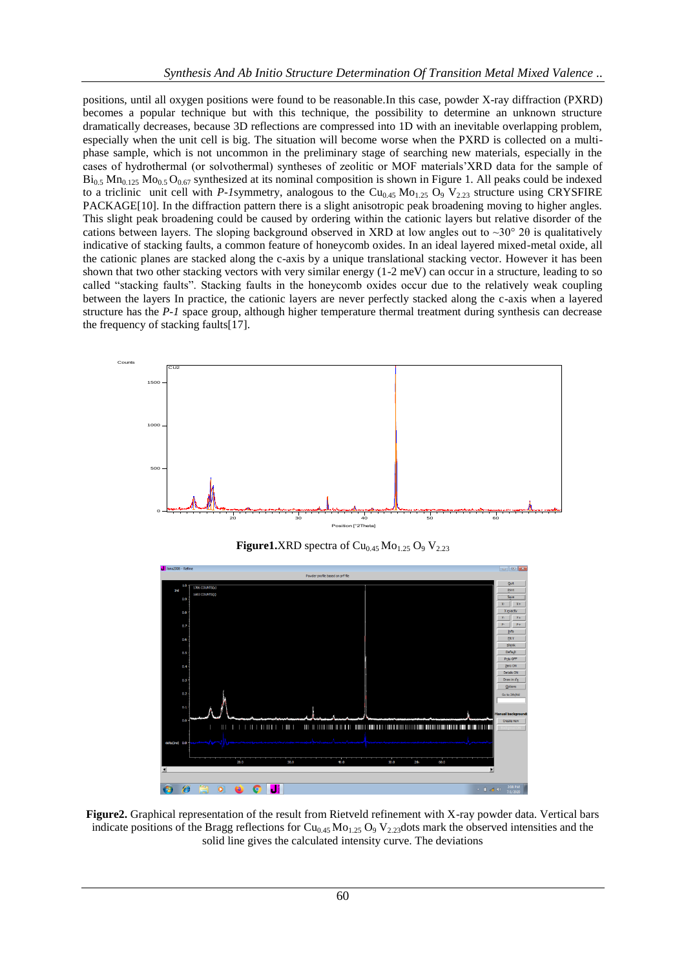positions, until all oxygen positions were found to be reasonable.In this case, powder X-ray diffraction (PXRD) becomes a popular technique but with this technique, the possibility to determine an unknown structure dramatically decreases, because 3D reflections are compressed into 1D with an inevitable overlapping problem, especially when the unit cell is big. The situation will become worse when the PXRD is collected on a multiphase sample, which is not uncommon in the preliminary stage of searching new materials, especially in the cases of hydrothermal (or solvothermal) syntheses of zeolitic or MOF materials'XRD data for the sample of  $Bi_{0.5}$  Mn<sub>0.125</sub> Mo<sub>0.5</sub> O<sub>0.67</sub> synthesized at its nominal composition is shown in Figure 1. All peaks could be indexed to a triclinic unit cell with *P-1*symmetry, analogous to the  $Cu<sub>0.45</sub> Mo<sub>1.25</sub> O<sub>9</sub> V<sub>2.23</sub>$  structure using CRYSFIRE PACKAGE[10]. In the diffraction pattern there is a slight anisotropic peak broadening moving to higher angles. This slight peak broadening could be caused by ordering within the cationic layers but relative disorder of the cations between layers. The sloping background observed in XRD at low angles out to  $\sim$ 30° 20 is qualitatively indicative of stacking faults, a common feature of honeycomb oxides. In an ideal layered mixed-metal oxide, all the cationic planes are stacked along the c-axis by a unique translational stacking vector. However it has been shown that two other stacking vectors with very similar energy (1-2 meV) can occur in a structure, leading to so called "stacking faults". Stacking faults in the honeycomb oxides occur due to the relatively weak coupling between the layers In practice, the cationic layers are never perfectly stacked along the c-axis when a layered structure has the *P-1* space group, although higher temperature thermal treatment during synthesis can decrease the frequency of stacking faults[17].



**Figure2.** Graphical representation of the result from Rietveld refinement with X-ray powder data. Vertical bars indicate positions of the Bragg reflections for  $Cu_{0.45}Mo_{1.25}O_9V_{2.23}$  dots mark the observed intensities and the solid line gives the calculated intensity curve. The deviations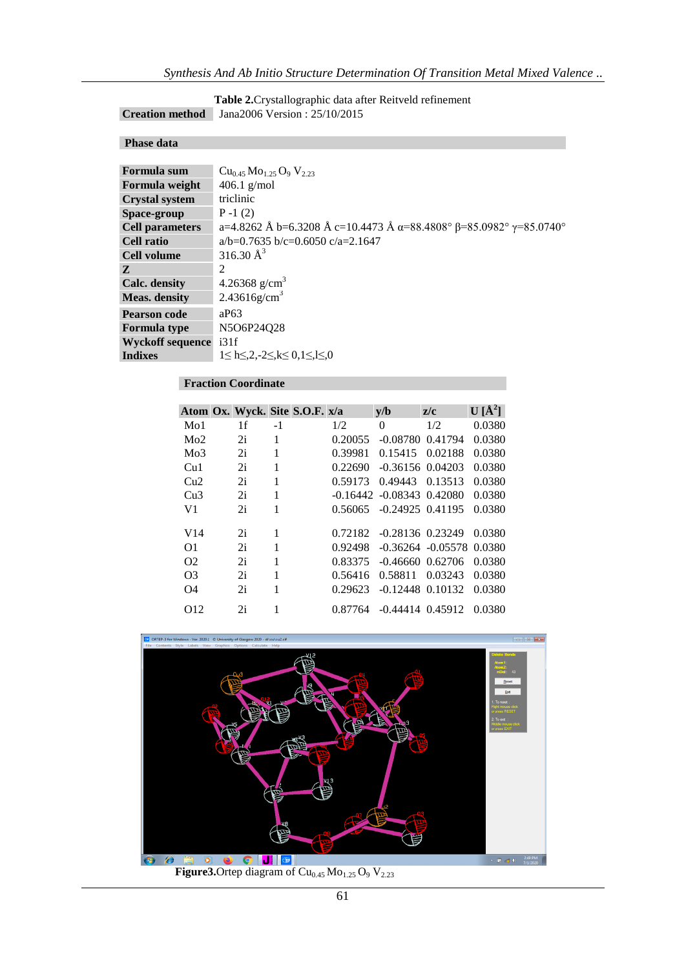| Table 2. Crystallographic data after Reitveld refinement |
|----------------------------------------------------------|
| <b>Creation method</b> Jana 2006 Version : $25/10/2015$  |

# **Phase data**

| Formula sum             | $Cu0.45 Mo1.25 O9 V2.23$                                                                  |
|-------------------------|-------------------------------------------------------------------------------------------|
| Formula weight          | $406.1$ g/mol                                                                             |
| <b>Crystal system</b>   | triclinic                                                                                 |
| Space-group             | $P-1(2)$                                                                                  |
| <b>Cell parameters</b>  | a=4.8262 Å b=6.3208 Å c=10.4473 Å $\alpha$ =88.4808° $\beta$ =85.0982° $\gamma$ =85.0740° |
| <b>Cell ratio</b>       | $a/b=0.7635 b/c=0.6050 c/a=2.1647$                                                        |
| Cell volume             | 316.30 $\AA^3$                                                                            |
| Z                       | 2                                                                                         |
| Calc. density           | 4.26368 g/cm <sup>3</sup>                                                                 |
| <b>Meas.</b> density    | $2.43616$ g/cm <sup>3</sup>                                                               |
| <b>Pearson code</b>     | aP63                                                                                      |
| <b>Formula type</b>     | N5O6P24O28                                                                                |
| <b>Wyckoff sequence</b> | i31f                                                                                      |
| <b>Indixes</b>          | $1 \leq h \leq 2, -2 \leq k \leq 0, 1 \leq l \leq 0$                                      |

# **Fraction Coordinate**

|                  | Atom Ox. Wyck. Site S.O.F. x/a |      |         | v/b                            | z/c                  | $U[\AA^2]$ |
|------------------|--------------------------------|------|---------|--------------------------------|----------------------|------------|
| M <sub>0</sub> 1 | 1f                             | $-1$ | 1/2     | $\theta$                       | 1/2                  | 0.0380     |
| Mo2              | 2i                             | 1    | 0.20055 | $-0.08780$                     | 0.41794              | 0.0380     |
| Mo3              | 2i                             | 1    | 0.39981 | 0.15415                        | 0.02188              | 0.0380     |
| Cu1              | 2i                             | 1    | 0.22690 | $-0.36156$ $0.04203$           |                      | 0.0380     |
| Cu2              | 2i                             | 1    | 0.59173 | 0.49443                        | 0.13513              | 0.0380     |
| Cu3              | 2i                             | 1    |         | $-0.16442 - 0.08343$ $0.42080$ |                      | 0.0380     |
| V1               | 2i                             | 1    | 0.56065 | $-0.24925$ 0.41195             |                      | 0.0380     |
| V <sub>14</sub>  | 2i                             | 1    | 0.72182 | $-0.28136$ 0.23249             |                      | 0.0380     |
| O1               | 2i                             | 1    | 0.92498 |                                | $-0.36264 - 0.05578$ | 0.0380     |
| O <sub>2</sub>   | 2i                             | 1    | 0.83375 |                                | $-0.46660$ $0.62706$ | 0.0380     |
| O3               | 2i                             | 1    | 0.56416 | 0.58811                        | 0.03243              | 0.0380     |
| O4               | 2i                             | 1    | 0.29623 | $-0.12448$ $0.10132$           |                      | 0.0380     |
| O <sub>12</sub>  | 2i                             | 1    | 0.87764 |                                | $-0.44414$ $0.45912$ | 0.0380     |

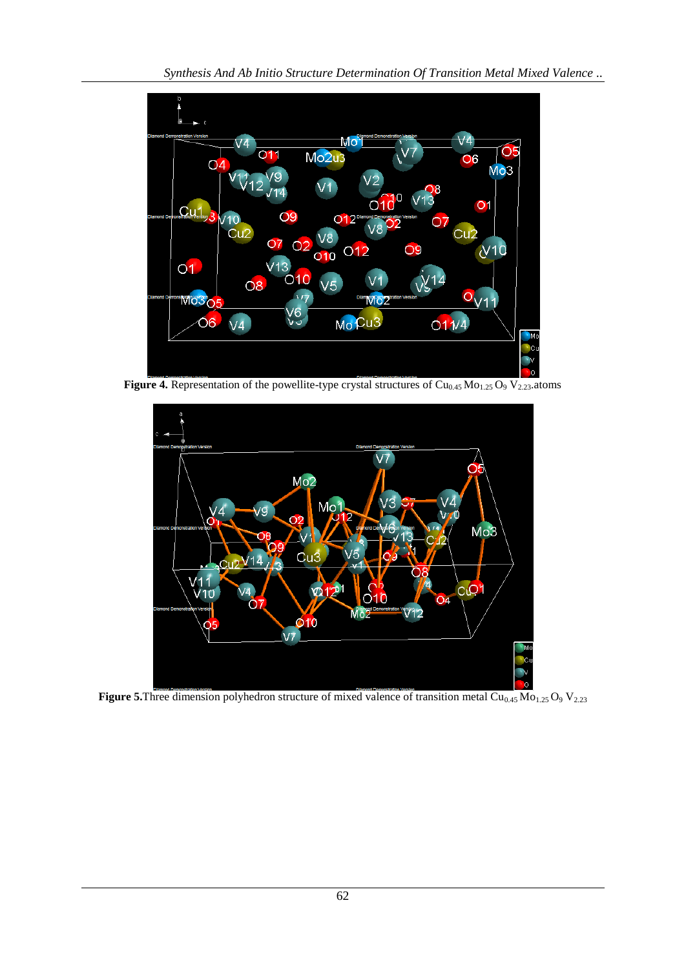

**Figure 4.** Representation of the powellite-type crystal structures of  $Cu_{0.45}Mo_{1.25}O_9V_{2.23}$  atoms



**Figure 5.**Three dimension polyhedron structure of mixed valence of transition metal Cu<sub>0.45</sub> Mo<sub>1.25</sub> O<sub>9</sub> V<sub>2.23</sub>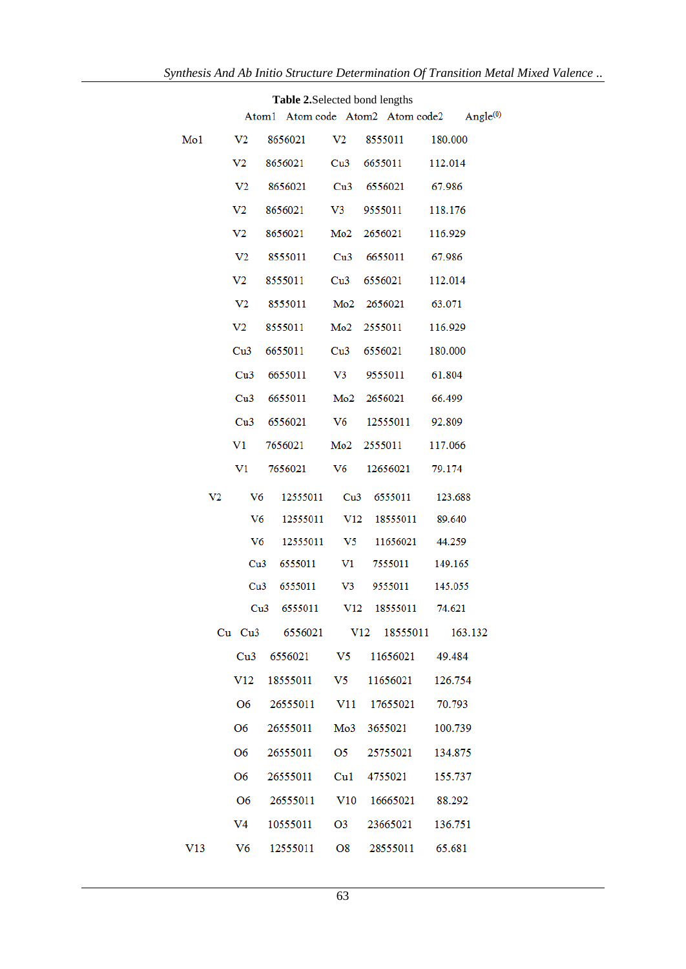| Table 2. Selected bond lengths |                                                          |                                 |                |                         |                                     |  |  |
|--------------------------------|----------------------------------------------------------|---------------------------------|----------------|-------------------------|-------------------------------------|--|--|
|                                | Atom1 Atom code Atom2 Atom code2<br>Angle <sup>(0)</sup> |                                 |                |                         |                                     |  |  |
| Mo1                            | V <sub>2</sub>                                           | 8656021                         | V <sub>2</sub> | 8555011                 | 180.000                             |  |  |
|                                | V <sub>2</sub>                                           | 8656021                         | Cu3            | 6655011                 | 112.014                             |  |  |
|                                | V <sub>2</sub>                                           | 8656021                         |                | Cu <sub>3</sub> 6556021 | 67.986                              |  |  |
|                                | V <sub>2</sub>                                           | 8656021                         | $V_3$          | 9555011                 | 118.176                             |  |  |
|                                | V <sub>2</sub>                                           | 8656021                         |                | Mo2 2656021             | 116.929                             |  |  |
|                                | V <sub>2</sub>                                           | 8555011                         |                | Cu <sub>3</sub> 6655011 | 67.986                              |  |  |
|                                | V <sub>2</sub>                                           | 8555011                         |                | Cu <sub>3</sub> 6556021 | 112.014                             |  |  |
|                                | V <sub>2</sub>                                           | 8555011                         |                | Mo2 2656021             | 63.071                              |  |  |
|                                | V <sub>2</sub>                                           | 8555011                         |                | Mo2 2555011             | 116.929                             |  |  |
|                                | Cu3                                                      | 6655011                         |                | Cu <sub>3</sub> 6556021 | 180.000                             |  |  |
|                                | Cu <sub>3</sub>                                          | 6655011                         | V3             | 9555011                 | 61.804                              |  |  |
|                                | Cu3                                                      | 6655011                         |                | Mo2 2656021             | 66.499                              |  |  |
|                                |                                                          | Cu3 6556021                     | V6             | 12555011                | 92.809                              |  |  |
|                                | V1                                                       | 7656021                         |                | Mo2 2555011             | 117.066                             |  |  |
|                                | $_{\rm V1}$                                              | 7656021                         | V6             | 12656021                | 79.174                              |  |  |
| V <sub>2</sub>                 | V <sub>6</sub>                                           | 12555011                        | Cu3            | 6555011                 | 123.688                             |  |  |
|                                | V6                                                       | 12555011                        |                | V12 18555011            | 89.640                              |  |  |
|                                | V6                                                       | 12555011                        |                | V <sub>5</sub> 11656021 | 44.259                              |  |  |
|                                | Cu3                                                      | 6555011                         | V1             | 7555011                 | 149.165                             |  |  |
|                                |                                                          | Cu3<br>6555011                  |                | V3 9555011              | 145.055                             |  |  |
|                                |                                                          | Cu3 6555011 V12 18555011        |                |                         | 74.621                              |  |  |
|                                |                                                          |                                 |                |                         | Cu Cu3 6556021 V12 18555011 163.132 |  |  |
|                                |                                                          | Cu3 6556021 V5 11656021 49.484  |                |                         |                                     |  |  |
|                                | V12                                                      | 18555011 V5                     |                | 11656021                | 126.754                             |  |  |
|                                |                                                          | O6 26555011 V11 17655021        |                |                         | 70.793                              |  |  |
|                                | O <sub>6</sub>                                           | 26555011                        |                | Mo3 3655021             | 100.739                             |  |  |
|                                | O <sub>6</sub>                                           | 26555011                        | O5             | 25755021                | 134.875                             |  |  |
|                                | O6                                                       | 26555011                        | Cu1            | 4755021                 | 155.737                             |  |  |
|                                |                                                          | O6 26555011 V10 16665021 88.292 |                |                         |                                     |  |  |
|                                | V4                                                       | 10555011                        | O3             | 23665021                | 136.751                             |  |  |
| V13                            | V6                                                       | 12555011 08                     |                | 28555011                | 65.681                              |  |  |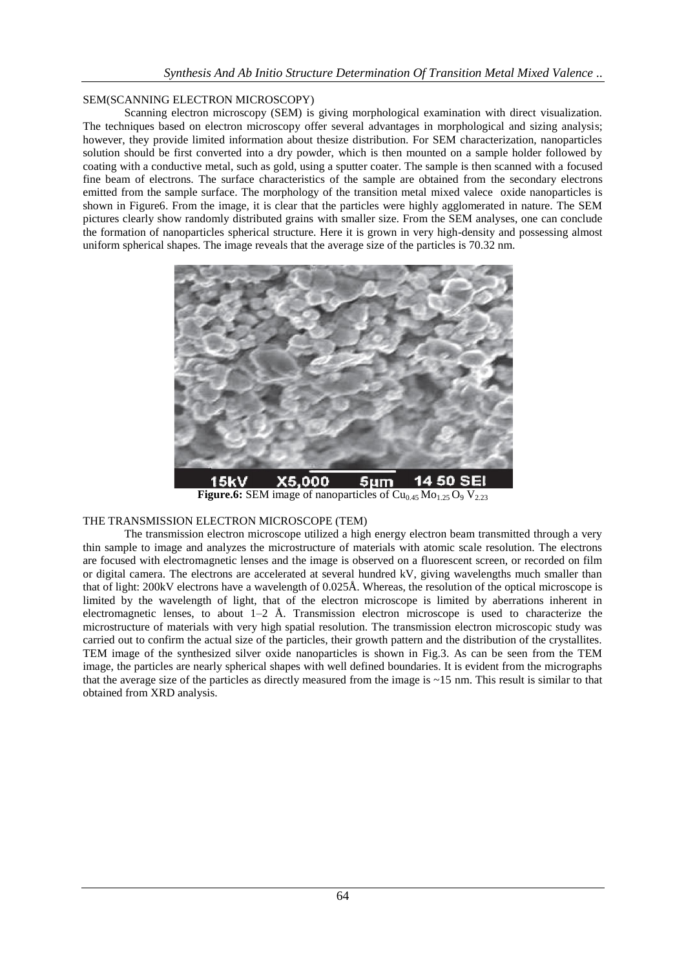## SEM(SCANNING ELECTRON MICROSCOPY)

Scanning electron microscopy (SEM) is giving morphological examination with direct visualization. The techniques based on electron microscopy offer several advantages in morphological and sizing analysis; however, they provide limited information about thesize distribution. For SEM characterization, nanoparticles solution should be first converted into a dry powder, which is then mounted on a sample holder followed by coating with a conductive metal, such as gold, using a sputter coater. The sample is then scanned with a focused fine beam of electrons. The surface characteristics of the sample are obtained from the secondary electrons emitted from the sample surface. The morphology of the transition metal mixed valece oxide nanoparticles is shown in Figure6. From the image, it is clear that the particles were highly agglomerated in nature. The SEM pictures clearly show randomly distributed grains with smaller size. From the SEM analyses, one can conclude the formation of nanoparticles spherical structure. Here it is grown in very high-density and possessing almost uniform spherical shapes. The image reveals that the average size of the particles is 70.32 nm.



**Figure.6:** SEM image of nanoparticles of  $Cu<sub>0.45</sub> Mo<sub>1.25</sub> O<sub>9</sub> V<sub>2.23</sub>$ 

## THE TRANSMISSION ELECTRON MICROSCOPE (TEM)

The transmission electron microscope utilized a high energy electron beam transmitted through a very thin sample to image and analyzes the microstructure of materials with atomic scale resolution. The electrons are focused with electromagnetic lenses and the image is observed on a fluorescent screen, or recorded on film or digital camera. The electrons are accelerated at several hundred kV, giving wavelengths much smaller than that of light: 200kV electrons have a wavelength of 0.025Å. Whereas, the resolution of the optical microscope is limited by the wavelength of light, that of the electron microscope is limited by aberrations inherent in electromagnetic lenses, to about  $1-2$  Å. Transmission electron microscope is used to characterize the microstructure of materials with very high spatial resolution. The transmission electron microscopic study was carried out to confirm the actual size of the particles, their growth pattern and the distribution of the crystallites. TEM image of the synthesized silver oxide nanoparticles is shown in Fig.3. As can be seen from the TEM image, the particles are nearly spherical shapes with well defined boundaries. It is evident from the micrographs that the average size of the particles as directly measured from the image is ~15 nm. This result is similar to that obtained from XRD analysis.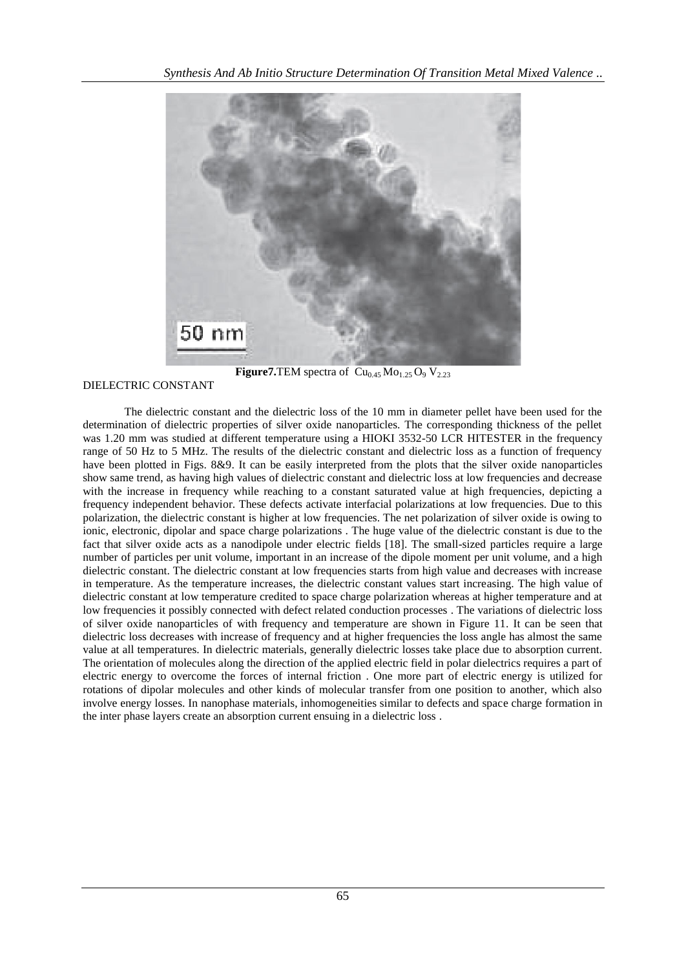

**Figure7.**TEM spectra of  $\overline{\text{Cu}_{0.45} \text{Mo}_{1.25} \text{O}_9} \text{V}_{2.23}$ 

DIELECTRIC CONSTANT

The dielectric constant and the dielectric loss of the 10 mm in diameter pellet have been used for the determination of dielectric properties of silver oxide nanoparticles. The corresponding thickness of the pellet was 1.20 mm was studied at different temperature using a HIOKI 3532-50 LCR HITESTER in the frequency range of 50 Hz to 5 MHz. The results of the dielectric constant and dielectric loss as a function of frequency have been plotted in Figs. 8&9. It can be easily interpreted from the plots that the silver oxide nanoparticles show same trend, as having high values of dielectric constant and dielectric loss at low frequencies and decrease with the increase in frequency while reaching to a constant saturated value at high frequencies, depicting a frequency independent behavior. These defects activate interfacial polarizations at low frequencies. Due to this polarization, the dielectric constant is higher at low frequencies. The net polarization of silver oxide is owing to ionic, electronic, dipolar and space charge polarizations . The huge value of the dielectric constant is due to the fact that silver oxide acts as a nanodipole under electric fields [18]. The small-sized particles require a large number of particles per unit volume, important in an increase of the dipole moment per unit volume, and a high dielectric constant. The dielectric constant at low frequencies starts from high value and decreases with increase in temperature. As the temperature increases, the dielectric constant values start increasing. The high value of dielectric constant at low temperature credited to space charge polarization whereas at higher temperature and at low frequencies it possibly connected with defect related conduction processes . The variations of dielectric loss of silver oxide nanoparticles of with frequency and temperature are shown in Figure 11. It can be seen that dielectric loss decreases with increase of frequency and at higher frequencies the loss angle has almost the same value at all temperatures. In dielectric materials, generally dielectric losses take place due to absorption current. The orientation of molecules along the direction of the applied electric field in polar dielectrics requires a part of electric energy to overcome the forces of internal friction . One more part of electric energy is utilized for rotations of dipolar molecules and other kinds of molecular transfer from one position to another, which also involve energy losses. In nanophase materials, inhomogeneities similar to defects and space charge formation in the inter phase layers create an absorption current ensuing in a dielectric loss .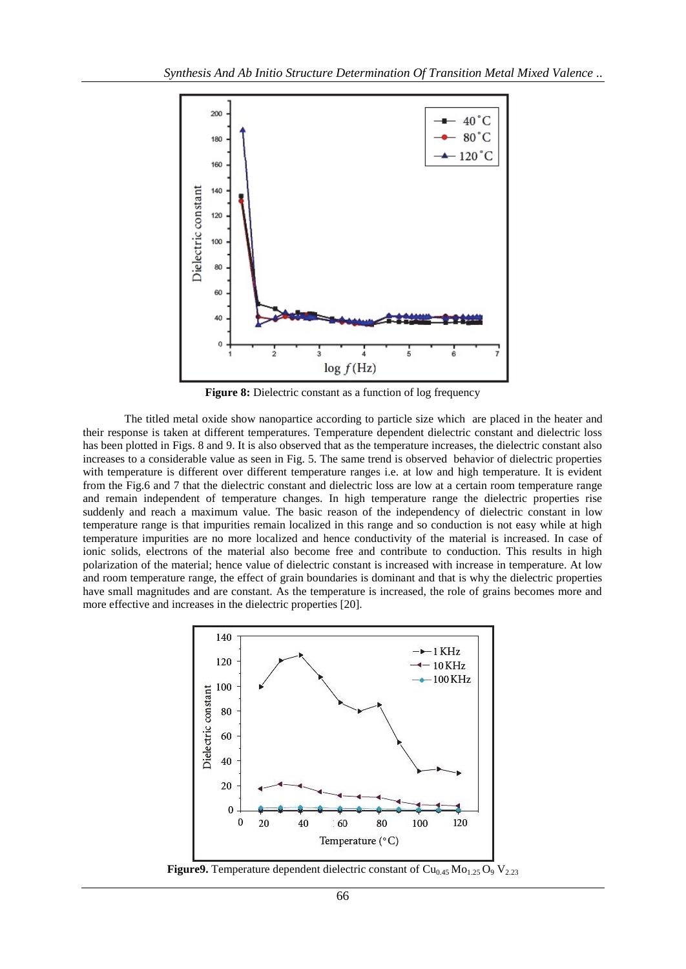

**Figure 8:** Dielectric constant as a function of log frequency

The titled metal oxide show nanopartice according to particle size which are placed in the heater and their response is taken at different temperatures. Temperature dependent dielectric constant and dielectric loss has been plotted in Figs. 8 and 9. It is also observed that as the temperature increases, the dielectric constant also increases to a considerable value as seen in Fig. 5. The same trend is observed behavior of dielectric properties with temperature is different over different temperature ranges i.e. at low and high temperature. It is evident from the Fig.6 and 7 that the dielectric constant and dielectric loss are low at a certain room temperature range and remain independent of temperature changes. In high temperature range the dielectric properties rise suddenly and reach a maximum value. The basic reason of the independency of dielectric constant in low temperature range is that impurities remain localized in this range and so conduction is not easy while at high temperature impurities are no more localized and hence conductivity of the material is increased. In case of ionic solids, electrons of the material also become free and contribute to conduction. This results in high polarization of the material; hence value of dielectric constant is increased with increase in temperature. At low and room temperature range, the effect of grain boundaries is dominant and that is why the dielectric properties have small magnitudes and are constant. As the temperature is increased, the role of grains becomes more and more effective and increases in the dielectric properties [20].



**Figure9.** Temperature dependent dielectric constant of  $Cu<sub>0.45</sub> Mo<sub>1.25</sub>O<sub>9</sub> V<sub>2.23</sub>$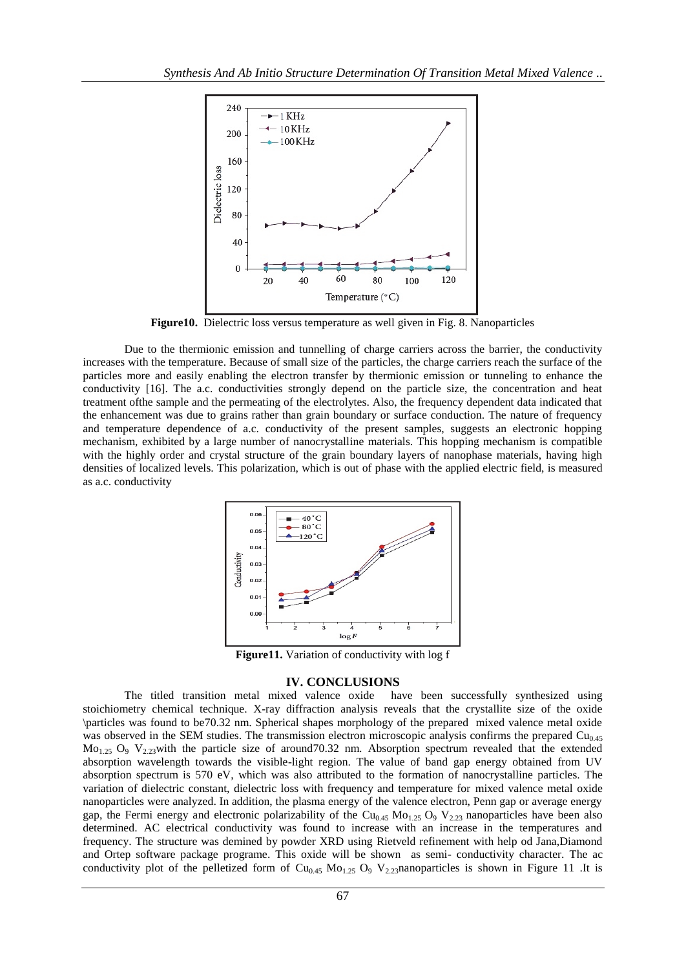

**Figure10.** Dielectric loss versus temperature as well given in Fig. 8. Nanoparticles

Due to the thermionic emission and tunnelling of charge carriers across the barrier, the conductivity increases with the temperature. Because of small size of the particles, the charge carriers reach the surface of the particles more and easily enabling the electron transfer by thermionic emission or tunneling to enhance the conductivity [16]. The a.c. conductivities strongly depend on the particle size, the concentration and heat treatment ofthe sample and the permeating of the electrolytes. Also, the frequency dependent data indicated that the enhancement was due to grains rather than grain boundary or surface conduction. The nature of frequency and temperature dependence of a.c. conductivity of the present samples, suggests an electronic hopping mechanism, exhibited by a large number of nanocrystalline materials. This hopping mechanism is compatible with the highly order and crystal structure of the grain boundary layers of nanophase materials, having high densities of localized levels. This polarization, which is out of phase with the applied electric field, is measured as a.c. conductivity



**Figure11.** Variation of conductivity with log f

#### **IV. CONCLUSIONS**

The titled transition metal mixed valence oxide have been successfully synthesized using stoichiometry chemical technique. X-ray diffraction analysis reveals that the crystallite size of the oxide \particles was found to be70.32 nm. Spherical shapes morphology of the prepared mixed valence metal oxide was observed in the SEM studies. The transmission electron microscopic analysis confirms the prepared  $Cu<sub>0.45</sub>$  $Mo<sub>1.25</sub>$  O<sub>9</sub> V<sub>2.23</sub>with the particle size of around 70.32 nm. Absorption spectrum revealed that the extended absorption wavelength towards the visible-light region. The value of band gap energy obtained from UV absorption spectrum is 570 eV, which was also attributed to the formation of nanocrystalline particles. The variation of dielectric constant, dielectric loss with frequency and temperature for mixed valence metal oxide nanoparticles were analyzed. In addition, the plasma energy of the valence electron, Penn gap or average energy gap, the Fermi energy and electronic polarizability of the  $Cu<sub>0.45</sub> Mo<sub>1.25</sub> O<sub>9</sub> V<sub>2.23</sub>$  nanoparticles have been also determined. AC electrical conductivity was found to increase with an increase in the temperatures and frequency. The structure was demined by powder XRD using Rietveld refinement with help od Jana,Diamond and Ortep software package programe. This oxide will be shown as semi- conductivity character. The ac conductivity plot of the pelletized form of  $Cu<sub>0.45</sub> Mo<sub>1.25</sub> O<sub>9</sub> V<sub>2.23</sub>$ nanoparticles is shown in Figure 11 .It is